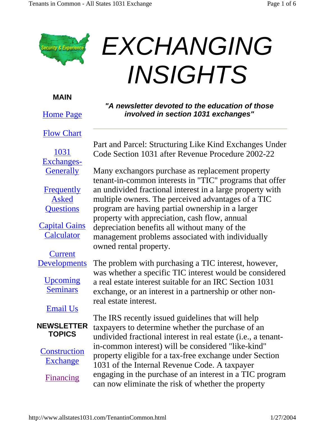

## **EXCHANGING** *INSIGHTS*

**MAIN**

Home Page

Flow Chart

1031 Exchanges-**Generally** 

**Frequently** Asked **Questions** 

Capital Gains **Calculator** 

**Current** Developments

> Upcoming **Seminars**

Email Us

## **NEWSLETTER TOPICS**

**Construction** Exchange

Financing

*"A newsletter devoted to the education of those involved in section 1031 exchanges"*

Part and Parcel: Structuring Like Kind Exchanges Under Code Section 1031 after Revenue Procedure 2002-22

Many exchangors purchase as replacement property tenant-in-common interests in "TIC" programs that offer an undivided fractional interest in a large property with multiple owners. The perceived advantages of a TIC program are having partial ownership in a larger property with appreciation, cash flow, annual depreciation benefits all without many of the management problems associated with individually owned rental property.

The problem with purchasing a TIC interest, however, was whether a specific TIC interest would be considered a real estate interest suitable for an IRC Section 1031 exchange, or an interest in a partnership or other nonreal estate interest.

The IRS recently issued guidelines that will help taxpayers to determine whether the purchase of an undivided fractional interest in real estate (i.e., a tenantin-common interest) will be considered "like-kind" property eligible for a tax-free exchange under Section 1031 of the Internal Revenue Code. A taxpayer engaging in the purchase of an interest in a TIC program can now eliminate the risk of whether the property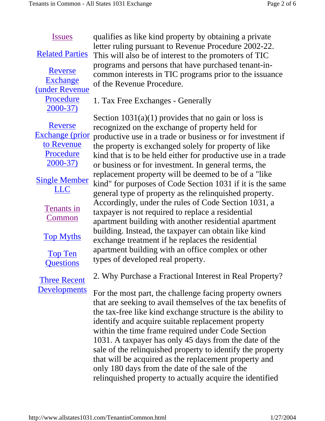## Issues

Related Parties

Reverse Exchange (under Revenue Procedure 2000-37)

qualifies as like kind property by obtaining a private letter ruling pursuant to Revenue Procedure 2002-22. This will also be of interest to the promoters of TIC programs and persons that have purchased tenant-incommon interests in TIC programs prior to the issuance of the Revenue Procedure.

1. Tax Free Exchanges - Generally

Reverse Exchange (prior to Revenue **Procedure** 2000-37)

Single Member LLC

> Tenants in Common

Top Myths

Top Ten **Questions** 

Three Recent Developments Section  $1031(a)(1)$  provides that no gain or loss is recognized on the exchange of property held for productive use in a trade or business or for investment if

the property is exchanged solely for property of like kind that is to be held either for productive use in a trade or business or for investment. In general terms, the replacement property will be deemed to be of a "like kind" for purposes of Code Section 1031 if it is the same general type of property as the relinquished property. Accordingly, under the rules of Code Section 1031, a taxpayer is not required to replace a residential apartment building with another residential apartment building. Instead, the taxpayer can obtain like kind exchange treatment if he replaces the residential apartment building with an office complex or other types of developed real property.

2. Why Purchase a Fractional Interest in Real Property?

For the most part, the challenge facing property owners that are seeking to avail themselves of the tax benefits of the tax-free like kind exchange structure is the ability to identify and acquire suitable replacement property within the time frame required under Code Section 1031. A taxpayer has only 45 days from the date of the sale of the relinquished property to identify the property that will be acquired as the replacement property and only 180 days from the date of the sale of the relinquished property to actually acquire the identified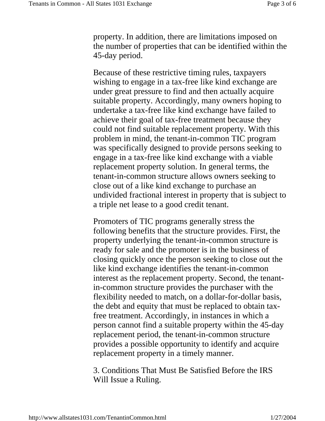property. In addition, there are limitations imposed on the number of properties that can be identified within the 45-day period.

Because of these restrictive timing rules, taxpayers wishing to engage in a tax-free like kind exchange are under great pressure to find and then actually acquire suitable property. Accordingly, many owners hoping to undertake a tax-free like kind exchange have failed to achieve their goal of tax-free treatment because they could not find suitable replacement property. With this problem in mind, the tenant-in-common TIC program was specifically designed to provide persons seeking to engage in a tax-free like kind exchange with a viable replacement property solution. In general terms, the tenant-in-common structure allows owners seeking to close out of a like kind exchange to purchase an undivided fractional interest in property that is subject to a triple net lease to a good credit tenant.

Promoters of TIC programs generally stress the following benefits that the structure provides. First, the property underlying the tenant-in-common structure is ready for sale and the promoter is in the business of closing quickly once the person seeking to close out the like kind exchange identifies the tenant-in-common interest as the replacement property. Second, the tenantin-common structure provides the purchaser with the flexibility needed to match, on a dollar-for-dollar basis, the debt and equity that must be replaced to obtain taxfree treatment. Accordingly, in instances in which a person cannot find a suitable property within the 45-day replacement period, the tenant-in-common structure provides a possible opportunity to identify and acquire replacement property in a timely manner.

3. Conditions That Must Be Satisfied Before the IRS Will Issue a Ruling.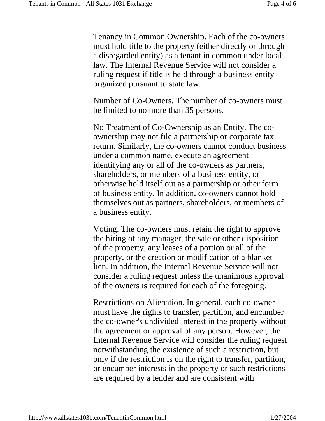Tenancy in Common Ownership. Each of the co-owners must hold title to the property (either directly or through a disregarded entity) as a tenant in common under local law. The Internal Revenue Service will not consider a ruling request if title is held through a business entity organized pursuant to state law.

Number of Co-Owners. The number of co-owners must be limited to no more than 35 persons.

No Treatment of Co-Ownership as an Entity. The coownership may not file a partnership or corporate tax return. Similarly, the co-owners cannot conduct business under a common name, execute an agreement identifying any or all of the co-owners as partners, shareholders, or members of a business entity, or otherwise hold itself out as a partnership or other form of business entity. In addition, co-owners cannot hold themselves out as partners, shareholders, or members of a business entity.

Voting. The co-owners must retain the right to approve the hiring of any manager, the sale or other disposition of the property, any leases of a portion or all of the property, or the creation or modification of a blanket lien. In addition, the Internal Revenue Service will not consider a ruling request unless the unanimous approval of the owners is required for each of the foregoing.

Restrictions on Alienation. In general, each co-owner must have the rights to transfer, partition, and encumber the co-owner's undivided interest in the property without the agreement or approval of any person. However, the Internal Revenue Service will consider the ruling request notwithstanding the existence of such a restriction, but only if the restriction is on the right to transfer, partition, or encumber interests in the property or such restrictions are required by a lender and are consistent with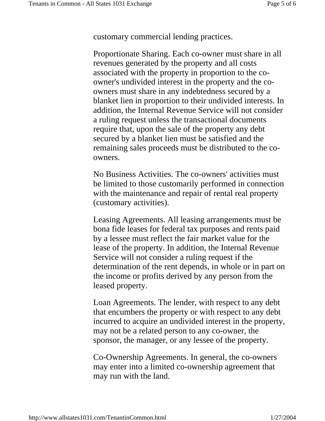customary commercial lending practices.

Proportionate Sharing. Each co-owner must share in all revenues generated by the property and all costs associated with the property in proportion to the coowner's undivided interest in the property and the coowners must share in any indebtedness secured by a blanket lien in proportion to their undivided interests. In addition, the Internal Revenue Service will not consider a ruling request unless the transactional documents require that, upon the sale of the property any debt secured by a blanket lien must be satisfied and the remaining sales proceeds must be distributed to the coowners.

No Business Activities. The co-owners' activities must be limited to those customarily performed in connection with the maintenance and repair of rental real property (customary activities).

Leasing Agreements. All leasing arrangements must be bona fide leases for federal tax purposes and rents paid by a lessee must reflect the fair market value for the lease of the property. In addition, the Internal Revenue Service will not consider a ruling request if the determination of the rent depends, in whole or in part on the income or profits derived by any person from the leased property.

Loan Agreements. The lender, with respect to any debt that encumbers the property or with respect to any debt incurred to acquire an undivided interest in the property, may not be a related person to any co-owner, the sponsor, the manager, or any lessee of the property.

Co-Ownership Agreements. In general, the co-owners may enter into a limited co-ownership agreement that may run with the land.